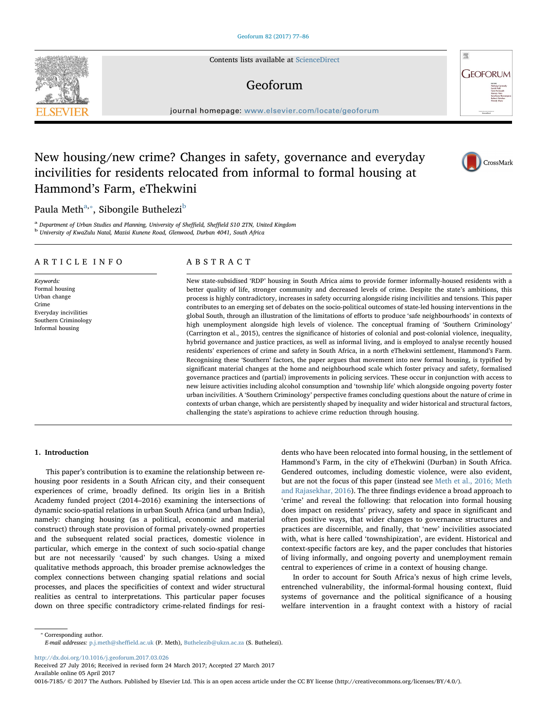Contents lists available at [ScienceDirect](http://www.sciencedirect.com/science/journal/00167185)

## Geoforum

journal homepage: [www.elsevier.com/locate/geoforum](http://www.elsevier.com/locate/geoforum)

# New housing/new crime? Changes in safety, governance and everyday incivilities for residents relocated from informal to formal housing at Hammond's Farm, eThekwini

## P[a](#page-0-0)ula Meth<sup>a,</sup>\*, Si[b](#page-0-2)ongile Buthelezi<sup>b</sup>

<span id="page-0-2"></span><span id="page-0-0"></span>a Department of Urban Studies and Planning, University of Sheffield, Sheffield S10 2TN, United Kingdom b University of KwaZulu Natal, Mazisi Kunene Road, Glenwood, Durban 4041, South Africa

## ARTICLE INFO

Keywords: Formal housing Urban change Crime Everyday incivilities Southern Criminology Informal housing

## ABSTRACT

New state-subsidised 'RDP' housing in South Africa aims to provide former informally-housed residents with a better quality of life, stronger community and decreased levels of crime. Despite the state's ambitions, this process is highly contradictory, increases in safety occurring alongside rising incivilities and tensions. This paper contributes to an emerging set of debates on the socio-political outcomes of state-led housing interventions in the global South, through an illustration of the limitations of efforts to produce 'safe neighbourhoods' in contexts of high unemployment alongside high levels of violence. The conceptual framing of 'Southern Criminology' (Carrington et al., 2015), centres the significance of histories of colonial and post-colonial violence, inequality, hybrid governance and justice practices, as well as informal living, and is employed to analyse recently housed residents' experiences of crime and safety in South Africa, in a north eThekwini settlement, Hammond's Farm. Recognising these 'Southern' factors, the paper argues that movement into new formal housing, is typified by significant material changes at the home and neighbourhood scale which foster privacy and safety, formalised governance practices and (partial) improvements in policing services. These occur in conjunction with access to new leisure activities including alcohol consumption and 'township life' which alongside ongoing poverty foster urban incivilities. A 'Southern Criminology' perspective frames concluding questions about the nature of crime in contexts of urban change, which are persistently shaped by inequality and wider historical and structural factors, challenging the state's aspirations to achieve crime reduction through housing.

## 1. Introduction

This paper's contribution is to examine the relationship between rehousing poor residents in a South African city, and their consequent experiences of crime, broadly defined. Its origin lies in a British Academy funded project (2014–2016) examining the intersections of dynamic socio-spatial relations in urban South Africa (and urban India), namely: changing housing (as a political, economic and material construct) through state provision of formal privately-owned properties and the subsequent related social practices, domestic violence in particular, which emerge in the context of such socio-spatial change but are not necessarily 'caused' by such changes. Using a mixed qualitative methods approach, this broader premise acknowledges the complex connections between changing spatial relations and social processes, and places the specificities of context and wider structural realities as central to interpretations. This particular paper focuses down on three specific contradictory crime-related findings for residents who have been relocated into formal housing, in the settlement of Hammond's Farm, in the city of eThekwini (Durban) in South Africa. Gendered outcomes, including domestic violence, were also evident, but are not the focus of this paper (instead see [Meth et al., 2016; Meth](#page-9-0) [and Rajasekhar, 2016](#page-9-0)). The three findings evidence a broad approach to 'crime' and reveal the following: that relocation into formal housing does impact on residents' privacy, safety and space in significant and often positive ways, that wider changes to governance structures and practices are discernible, and finally, that 'new' incivilities associated with, what is here called 'townshipization', are evident. Historical and context-specific factors are key, and the paper concludes that histories of living informally, and ongoing poverty and unemployment remain central to experiences of crime in a context of housing change.

In order to account for South Africa's nexus of high crime levels, entrenched vulnerability, the informal-formal housing context, fluid systems of governance and the political significance of a housing welfare intervention in a fraught context with a history of racial

E-mail addresses: [p.j.meth@she](mailto:p.j.meth@sheffield.ac.uk)ffield.ac.uk (P. Meth), [Buthelezib@ukzn.ac.za](mailto:Buthelezib@ukzn.ac.za) (S. Buthelezi).

<http://dx.doi.org/10.1016/j.geoforum.2017.03.026>

<span id="page-0-1"></span>⁎ Corresponding author.

Received 27 July 2016; Received in revised form 24 March 2017; Accepted 27 March 2017 Available online 05 April 2017

0016-7185/ © 2017 The Authors. Published by Elsevier Ltd. This is an open access article under the CC BY license (http://creativecommons.org/licenses/BY/4.0/).





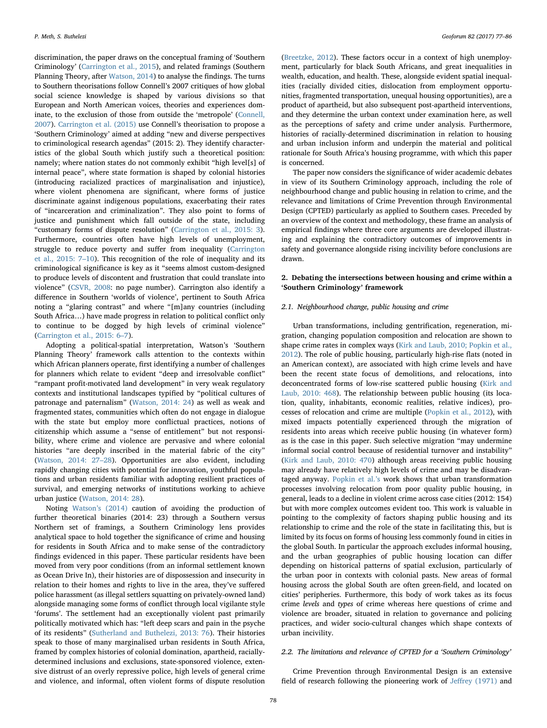discrimination, the paper draws on the conceptual framing of 'Southern Criminology' ([Carrington et al., 2015\)](#page-8-0), and related framings (Southern Planning Theory, after [Watson, 2014\)](#page-9-1) to analyse the findings. The turns to Southern theorisations follow Connell's 2007 critiques of how global social science knowledge is shaped by various divisions so that European and North American voices, theories and experiences dominate, to the exclusion of those from outside the 'metropole' [\(Connell,](#page-8-1) [2007\)](#page-8-1). [Carrington et al. \(2015\)](#page-8-0) use Connell's theorisation to propose a 'Southern Criminology' aimed at adding "new and diverse perspectives to criminological research agendas" (2015: 2). They identify characteristics of the global South which justify such a theoretical position: namely; where nation states do not commonly exhibit "high level[s] of internal peace", where state formation is shaped by colonial histories (introducing racialized practices of marginalisation and injustice), where violent phenomena are significant, where forms of justice discriminate against indigenous populations, exacerbating their rates of "incarceration and criminalization". They also point to forms of justice and punishment which fall outside of the state, including "customary forms of dispute resolution" ([Carrington et al., 2015: 3](#page-8-0)). Furthermore, countries often have high levels of unemployment, struggle to reduce poverty and suffer from inequality ([Carrington](#page-8-0) [et al., 2015: 7](#page-8-0)–10). This recognition of the role of inequality and its criminological significance is key as it "seems almost custom-designed to produce levels of discontent and frustration that could translate into violence" [\(CSVR, 2008](#page-8-2): no page number). Carrington also identify a difference in Southern 'worlds of violence', pertinent to South Africa noting a "glaring contrast" and where "[m]any countries (including South Africa…) have made progress in relation to political conflict only to continue to be dogged by high levels of criminal violence" ([Carrington et al., 2015: 6](#page-8-0)–7).

Adopting a political-spatial interpretation, Watson's 'Southern Planning Theory' framework calls attention to the contexts within which African planners operate, first identifying a number of challenges for planners which relate to evident "deep and irresolvable conflict" "rampant profit-motivated land development" in very weak regulatory contexts and institutional landscapes typified by "political cultures of patronage and paternalism" [\(Watson, 2014: 24](#page-9-1)) as well as weak and fragmented states, communities which often do not engage in dialogue with the state but employ more conflictual practices, notions of citizenship which assume a "sense of entitlement" but not responsibility, where crime and violence are pervasive and where colonial histories "are deeply inscribed in the material fabric of the city" ([Watson, 2014: 27](#page-9-1)–28). Opportunities are also evident, including rapidly changing cities with potential for innovation, youthful populations and urban residents familiar with adopting resilient practices of survival, and emerging networks of institutions working to achieve urban justice [\(Watson, 2014: 28](#page-9-1)).

Noting Watson'[s \(2014\)](#page-9-1) caution of avoiding the production of further theoretical binaries (2014: 23) through a Southern versus Northern set of framings, a Southern Criminology lens provides analytical space to hold together the significance of crime and housing for residents in South Africa and to make sense of the contradictory findings evidenced in this paper. These particular residents have been moved from very poor conditions (from an informal settlement known as Ocean Drive In), their histories are of dispossession and insecurity in relation to their homes and rights to live in the area, they've suffered police harassment (as illegal settlers squatting on privately-owned land) alongside managing some forms of conflict through local vigilante style 'forums'. The settlement had an exceptionally violent past primarily politically motivated which has: "left deep scars and pain in the psyche of its residents" [\(Sutherland and Buthelezi, 2013: 76\)](#page-9-2). Their histories speak to those of many marginalised urban residents in South Africa, framed by complex histories of colonial domination, apartheid, raciallydetermined inclusions and exclusions, state-sponsored violence, extensive distrust of an overly repressive police, high levels of general crime and violence, and informal, often violent forms of dispute resolution

([Breetzke, 2012](#page-8-3)). These factors occur in a context of high unemployment, particularly for black South Africans, and great inequalities in wealth, education, and health. These, alongside evident spatial inequalities (racially divided cities, dislocation from employment opportunities, fragmented transportation, unequal housing opportunities), are a product of apartheid, but also subsequent post-apartheid interventions, and they determine the urban context under examination here, as well as the perceptions of safety and crime under analysis. Furthermore, histories of racially-determined discrimination in relation to housing and urban inclusion inform and underpin the material and political rationale for South Africa's housing programme, with which this paper is concerned.

The paper now considers the significance of wider academic debates in view of its Southern Criminology approach, including the role of neighbourhood change and public housing in relation to crime, and the relevance and limitations of Crime Prevention through Environmental Design (CPTED) particularly as applied to Southern cases. Preceded by an overview of the context and methodology, these frame an analysis of empirical findings where three core arguments are developed illustrating and explaining the contradictory outcomes of improvements in safety and governance alongside rising incivility before conclusions are drawn.

## 2. Debating the intersections between housing and crime within a 'Southern Criminology' framework

#### 2.1. Neighbourhood change, public housing and crime

Urban transformations, including gentrification, regeneration, migration, changing population composition and relocation are shown to shape crime rates in complex ways [\(Kirk and Laub, 2010; Popkin et al.,](#page-8-4) [2012\)](#page-8-4). The role of public housing, particularly high-rise flats (noted in an American context), are associated with high crime levels and have been the recent state focus of demolitions, and relocations, into deconcentrated forms of low-rise scattered public housing [\(Kirk and](#page-8-4) [Laub, 2010: 468](#page-8-4)). The relationship between public housing (its location, quality, inhabitants, economic realities, relative indices), processes of relocation and crime are multiple ([Popkin et al., 2012\)](#page-9-3), with mixed impacts potentially experienced through the migration of residents into areas which receive public housing (in whatever form) as is the case in this paper. Such selective migration "may undermine informal social control because of residential turnover and instability" ([Kirk and Laub, 2010: 470](#page-8-4)) although areas receiving public housing may already have relatively high levels of crime and may be disadvantaged anyway. [Popkin et al.](#page-9-3)'s work shows that urban transformation processes involving relocation from poor quality public housing, in general, leads to a decline in violent crime across case cities (2012: 154) but with more complex outcomes evident too. This work is valuable in pointing to the complexity of factors shaping public housing and its relationship to crime and the role of the state in facilitating this, but is limited by its focus on forms of housing less commonly found in cities in the global South. In particular the approach excludes informal housing, and the urban geographies of public housing location can differ depending on historical patterns of spatial exclusion, particularly of the urban poor in contexts with colonial pasts. New areas of formal housing across the global South are often green-field, and located on cities' peripheries. Furthermore, this body of work takes as its focus crime levels and types of crime whereas here questions of crime and violence are broader, situated in relation to governance and policing practices, and wider socio-cultural changes which shape contexts of urban incivility.

## 2.2. The limitations and relevance of CPTED for a 'Southern Criminology'

Crime Prevention through Environmental Design is an extensive field of research following the pioneering work of Jeff[rey \(1971\)](#page-8-5) and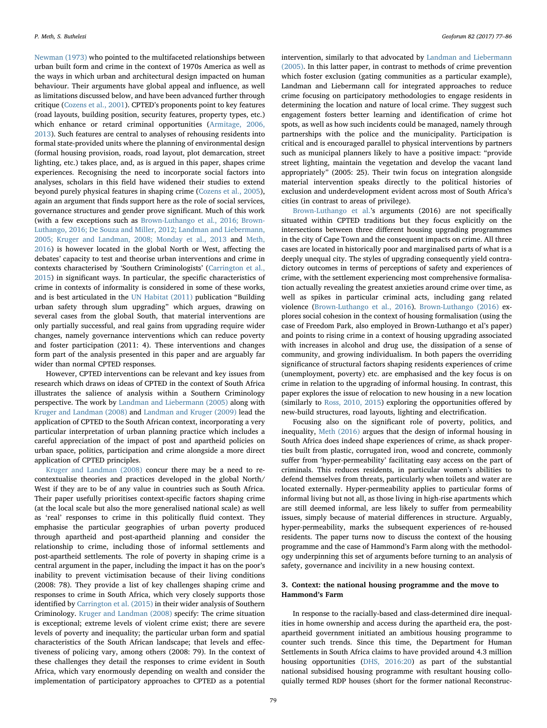[Newman \(1973\)](#page-9-4) who pointed to the multifaceted relationships between urban built form and crime in the context of 1970s America as well as the ways in which urban and architectural design impacted on human behaviour. Their arguments have global appeal and influence, as well as limitations discussed below, and have been advanced further through critique ([Cozens et al., 2001](#page-8-6)). CPTED's proponents point to key features (road layouts, building position, security features, property types, etc.) which enhance or retard criminal opportunities [\(Armitage, 2006,](#page-8-7) [2013\)](#page-8-7). Such features are central to analyses of rehousing residents into formal state-provided units where the planning of environmental design (formal housing provision, roads, road layout, plot demarcation, street lighting, etc.) takes place, and, as is argued in this paper, shapes crime experiences. Recognising the need to incorporate social factors into analyses, scholars in this field have widened their studies to extend beyond purely physical features in shaping crime [\(Cozens et al., 2005](#page-8-8)), again an argument that finds support here as the role of social services, governance structures and gender prove significant. Much of this work (with a few exceptions such as [Brown-Luthango et al., 2016; Brown-](#page-8-9)[Luthango, 2016; De Souza and Miller, 2012; Landman and Liebermann,](#page-8-9) [2005; Kruger and Landman, 2008; Monday et al., 2013](#page-8-9) and [Meth,](#page-8-10) [2016\)](#page-8-10) is however located in the global North or West, affecting the debates' capacity to test and theorise urban interventions and crime in contexts characterised by 'Southern Criminologists' [\(Carrington et al.,](#page-8-0) [2015\)](#page-8-0) in significant ways. In particular, the specific characteristics of crime in contexts of informality is considered in some of these works, and is best articulated in the [UN Habitat \(2011\)](#page-9-5) publication "Building urban safety through slum upgrading" which argues, drawing on several cases from the global South, that material interventions are only partially successful, and real gains from upgrading require wider changes, namely governance interventions which can reduce poverty and foster participation (2011: 4). These interventions and changes form part of the analysis presented in this paper and are arguably far wider than normal CPTED responses.

However, CPTED interventions can be relevant and key issues from research which draws on ideas of CPTED in the context of South Africa illustrates the salience of analysis within a Southern Criminology perspective. The work by [Landman and Liebermann \(2005\)](#page-8-11) along with [Kruger and Landman \(2008\)](#page-8-12) and [Landman and Kruger \(2009\)](#page-8-13) lead the application of CPTED to the South African context, incorporating a very particular interpretation of urban planning practice which includes a careful appreciation of the impact of post and apartheid policies on urban space, politics, participation and crime alongside a more direct application of CPTED principles.

[Kruger and Landman \(2008\)](#page-8-12) concur there may be a need to recontextualise theories and practices developed in the global North/ West if they are to be of any value in countries such as South Africa. Their paper usefully prioritises context-specific factors shaping crime (at the local scale but also the more generalised national scale) as well as 'real' responses to crime in this politically fluid context. They emphasise the particular geographies of urban poverty produced through apartheid and post-apartheid planning and consider the relationship to crime, including those of informal settlements and post-apartheid settlements. The role of poverty in shaping crime is a central argument in the paper, including the impact it has on the poor's inability to prevent victimisation because of their living conditions (2008: 78). They provide a list of key challenges shaping crime and responses to crime in South Africa, which very closely supports those identified by [Carrington et al. \(2015\)](#page-8-0) in their wider analysis of Southern Criminology. [Kruger and Landman \(2008\)](#page-8-12) specify: The crime situation is exceptional; extreme levels of violent crime exist; there are severe levels of poverty and inequality; the particular urban form and spatial characteristics of the South African landscape; that levels and effectiveness of policing vary, among others (2008: 79). In the context of these challenges they detail the responses to crime evident in South Africa, which vary enormously depending on wealth and consider the implementation of participatory approaches to CPTED as a potential intervention, similarly to that advocated by [Landman and Liebermann](#page-8-11) [\(2005\).](#page-8-11) In this latter paper, in contrast to methods of crime prevention which foster exclusion (gating communities as a particular example), Landman and Liebermann call for integrated approaches to reduce crime focusing on participatory methodologies to engage residents in determining the location and nature of local crime. They suggest such engagement fosters better learning and identification of crime hot spots, as well as how such incidents could be managed, namely through partnerships with the police and the municipality. Participation is critical and is encouraged parallel to physical interventions by partners such as municipal planners likely to have a positive impact: "provide street lighting, maintain the vegetation and develop the vacant land appropriately" (2005: 25). Their twin focus on integration alongside material intervention speaks directly to the political histories of exclusion and underdevelopment evident across most of South Africa's cities (in contrast to areas of privilege).

[Brown-Luthango et al.](#page-8-9)'s arguments (2016) are not specifically situated within CPTED traditions but they focus explicitly on the intersections between three different housing upgrading programmes in the city of Cape Town and the consequent impacts on crime. All three cases are located in historically poor and marginalised parts of what is a deeply unequal city. The styles of upgrading consequently yield contradictory outcomes in terms of perceptions of safety and experiences of crime, with the settlement experiencing most comprehensive formalisation actually revealing the greatest anxieties around crime over time, as well as spikes in particular criminal acts, including gang related violence ([Brown-Luthango et al., 2016](#page-8-9)). [Brown-Luthango \(2016\)](#page-8-14) explores social cohesion in the context of housing formalisation (using the case of Freedom Park, also employed in Brown-Luthango et al's paper) and points to rising crime in a context of housing upgrading associated with increases in alcohol and drug use, the dissipation of a sense of community, and growing individualism. In both papers the overriding significance of structural factors shaping residents experiences of crime (unemployment, poverty) etc. are emphasised and the key focus is on crime in relation to the upgrading of informal housing. In contrast, this paper explores the issue of relocation to new housing in a new location (similarly to [Ross, 2010, 2015](#page-9-6)) exploring the opportunities offered by new-build structures, road layouts, lighting and electrification.

Focusing also on the significant role of poverty, politics, and inequality, Meth [\(2016\)](#page-8-10) argues that the design of informal housing in South Africa does indeed shape experiences of crime, as shack properties built from plastic, corrugated iron, wood and concrete, commonly suffer from 'hyper-permeability' facilitating easy access on the part of criminals. This reduces residents, in particular women's abilities to defend themselves from threats, particularly when toilets and water are located externally. Hyper-permeability applies to particular forms of informal living but not all, as those living in high-rise apartments which are still deemed informal, are less likely to suffer from permeability issues, simply because of material differences in structure. Arguably, hyper-permeability, marks the subsequent experiences of re-housed residents. The paper turns now to discuss the context of the housing programme and the case of Hammond's Farm along with the methodology underpinning this set of arguments before turning to an analysis of safety, governance and incivility in a new housing context.

## 3. Context: the national housing programme and the move to Hammond's Farm

In response to the racially-based and class-determined dire inequalities in home ownership and access during the apartheid era, the postapartheid government initiated an ambitious housing programme to counter such trends. Since this time, the Department for Human Settlements in South Africa claims to have provided around 4.3 million housing opportunities ([DHS, 2016:20](#page-8-15)) as part of the substantial national subsidised housing programme with resultant housing colloquially termed RDP houses (short for the former national Reconstruc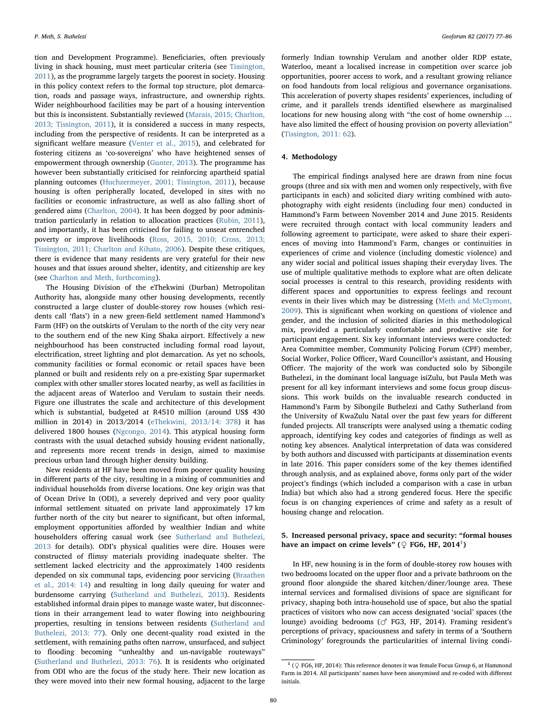tion and Development Programme). Beneficiaries, often previously living in shack housing, must meet particular criteria (see [Tissington,](#page-9-7) [2011\)](#page-9-7), as the programme largely targets the poorest in society. Housing in this policy context refers to the formal top structure, plot demarcation, roads and passage ways, infrastructure, and ownership rights. Wider neighbourhood facilities may be part of a housing intervention but this is inconsistent. Substantially reviewed [\(Marais, 2015; Charlton,](#page-8-16) [2013; Tissington, 2011](#page-8-16)), it is considered a success in many respects, including from the perspective of residents. It can be interpreted as a significant welfare measure ([Venter et al., 2015](#page-9-8)), and celebrated for fostering citizens as 'co-sovereigns' who have heightened senses of empowerment through ownership [\(Gunter, 2013](#page-8-17)). The programme has however been substantially criticised for reinforcing apartheid spatial planning outcomes ([Huchzermeyer, 2001; Tissington, 2011](#page-8-18)), because housing is often peripherally located, developed in sites with no facilities or economic infrastructure, as well as also falling short of gendered aims [\(Charlton, 2004\)](#page-8-19). It has been dogged by poor administration particularly in relation to allocation practices ([Rubin, 2011](#page-9-9)), and importantly, it has been criticised for failing to unseat entrenched poverty or improve livelihoods ([Ross, 2015, 2010; Cross, 2013;](#page-9-10) [Tissington, 2011; Charlton and Kihato, 2006\)](#page-9-10). Despite these critiques, there is evidence that many residents are very grateful for their new houses and that issues around shelter, identity, and citizenship are key (see [Charlton and Meth, forthcoming\)](#page-8-20).

The Housing Division of the eThekwini (Durban) Metropolitan Authority has, alongside many other housing developments, recently constructed a large cluster of double-storey row houses (which residents call 'flats') in a new green-field settlement named Hammond's Farm (HF) on the outskirts of Verulam to the north of the city very near to the southern end of the new King Shaka airport. Effectively a new neighbourhood has been constructed including formal road layout, electrification, street lighting and plot demarcation. As yet no schools, community facilities or formal economic or retail spaces have been planned or built and residents rely on a pre-existing Spar supermarket complex with other smaller stores located nearby, as well as facilities in the adjacent areas of Waterloo and Verulam to sustain their needs. Figure one illustrates the scale and architecture of this development which is substantial, budgeted at R4510 million (around US\$ 430 million in 2014) in 2013/2014 [\(eThekwini, 2013/14: 378](#page-8-21)) it has delivered 1800 houses [\(Ngcongo, 2014](#page-9-11)). This atypical housing form contrasts with the usual detached subsidy housing evident nationally, and represents more recent trends in design, aimed to maximise precious urban land through higher density building.

New residents at HF have been moved from poorer quality housing in different parts of the city, resulting in a mixing of communities and individual households from diverse locations. One key origin was that of Ocean Drive In (ODI), a severely deprived and very poor quality informal settlement situated on private land approximately 17 km further north of the city but nearer to significant, but often informal, employment opportunities afforded by wealthier Indian and white householders offering casual work (see [Sutherland and Buthelezi,](#page-9-2) [2013](#page-9-2) for details). ODI's physical qualities were dire. Houses were constructed of flimsy materials providing inadequate shelter. The settlement lacked electricity and the approximately 1400 residents depended on six communal taps, evidencing poor servicing ([Braathen](#page-8-22) [et al., 2014: 14\)](#page-8-22) and resulting in long daily queuing for water and burdensome carrying ([Sutherland and Buthelezi, 2013\)](#page-9-2). Residents established informal drain pipes to manage waste water, but disconnections in their arrangement lead to water flowing into neighbouring properties, resulting in tensions between residents ([Sutherland and](#page-9-2) [Buthelezi, 2013: 77](#page-9-2)). Only one decent-quality road existed in the settlement, with remaining paths often narrow, unsurfaced, and subject to flooding becoming "unhealthy and un-navigable routeways" ([Sutherland and Buthelezi, 2013: 76](#page-9-2)). It is residents who originated from ODI who are the focus of the study here. Their new location as they were moved into their new formal housing, adjacent to the large

formerly Indian township Verulam and another older RDP estate, Waterloo, meant a localised increase in competition over scarce job opportunities, poorer access to work, and a resultant growing reliance on food handouts from local religious and governance organisations. This acceleration of poverty shapes residents' experiences, including of crime, and it parallels trends identified elsewhere as marginalised locations for new housing along with "the cost of home ownership … have also limited the effect of housing provision on poverty alleviation" ([Tissington, 2011: 62\)](#page-9-7).

#### 4. Methodology

The empirical findings analysed here are drawn from nine focus groups (three and six with men and women only respectively, with five participants in each) and solicited diary writing combined with autophotography with eight residents (including four men) conducted in Hammond's Farm between November 2014 and June 2015. Residents were recruited through contact with local community leaders and following agreement to participate, were asked to share their experiences of moving into Hammond's Farm, changes or continuities in experiences of crime and violence (including domestic violence) and any wider social and political issues shaping their everyday lives. The use of multiple qualitative methods to explore what are often delicate social processes is central to this research, providing residents with different spaces and opportunities to express feelings and recount events in their lives which may be distressing ([Meth and McClymont,](#page-9-12) [2009\)](#page-9-12). This is significant when working on questions of violence and gender, and the inclusion of solicited diaries in this methodological mix, provided a particularly comfortable and productive site for participant engagement. Six key informant interviews were conducted: Area Committee member, Community Policing Forum (CPF) member, Social Worker, Police Officer, Ward Councillor's assistant, and Housing Officer. The majority of the work was conducted solo by Sibongile Buthelezi, in the dominant local language isiZulu, but Paula Meth was present for all key informant interviews and some focus group discussions. This work builds on the invaluable research conducted in Hammond's Farm by Sibongile Buthelezi and Cathy Sutherland from the University of KwaZulu Natal over the past few years for different funded projects. All transcripts were analysed using a thematic coding approach, identifying key codes and categories of findings as well as noting key absences. Analytical interpretation of data was considered by both authors and discussed with participants at dissemination events in late 2016. This paper considers some of the key themes identified through analysis, and as explained above, forms only part of the wider project's findings (which included a comparison with a case in urban India) but which also had a strong gendered focus. Here the specific focus is on changing experiences of crime and safety as a result of housing change and relocation.

## 5. Increased personal privacy, space and security: "formal houses have an impact on crime levels" ( $\varphi$  FG6, HF, 20[1](#page-3-0)4<sup>1</sup>)

In HF, new housing is in the form of double-storey row houses with two bedrooms located on the upper floor and a private bathroom on the ground floor alongside the shared kitchen/diner/lounge area. These internal services and formalised divisions of space are significant for privacy, shaping both intra-household use of space, but also the spatial practices of visitors who now can access designated 'social' spaces (the lounge) avoiding bedrooms ( $\circ$  FG3, HF, 2014). Framing resident's perceptions of privacy, spaciousness and safety in terms of a 'Southern Criminology' foregrounds the particularities of internal living condi-

<span id="page-3-0"></span> $1$  ( $\circ$  FG6, HF, 2014): This reference denotes it was female Focus Group 6, at Hammond Farm in 2014. All participants' names have been anonymised and re-coded with different initials.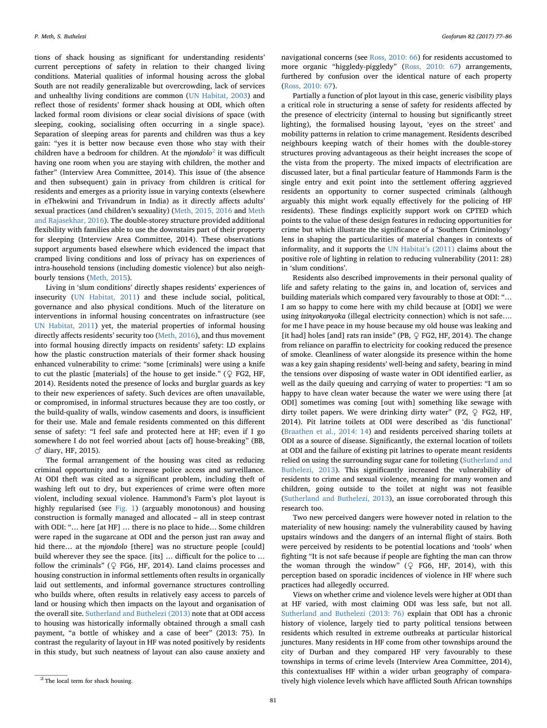tions of shack housing as significant for understanding residents' current perceptions of safety in relation to their changed living conditions. Material qualities of informal housing across the global South are not readily generalizable but overcrowding, lack of services and unhealthy living conditions are common ([UN Habitat, 2003\)](#page-9-13) and reflect those of residents' former shack housing at ODI, which often lacked formal room divisions or clear social divisions of space (with sleeping, cooking, socialising often occurring in a single space). Separation of sleeping areas for parents and children was thus a key gain: "yes it is better now because even those who stay with their children have a bedroom for children. At the *miondolo*<sup>[2](#page-4-0)</sup> it was difficult having one room when you are staying with children, the mother and father" (Interview Area Committee, 2014). This issue of (the absence and then subsequent) gain in privacy from children is critical for residents and emerges as a priority issue in varying contexts (elsewhere in eThekwini and Trivandrum in India) as it directly affects adults' sexual practices (and children's sexuality) ([Meth, 2015, 2016](#page-8-23) and [Meth](#page-9-14) [and Rajasekhar, 2016](#page-9-14)). The double-storey structure provided additional flexibility with families able to use the downstairs part of their property for sleeping (Interview Area Committee, 2014). These observations support arguments based elsewhere which evidenced the impact that cramped living conditions and loss of privacy has on experiences of intra-household tensions (including domestic violence) but also neighbourly tensions ([Meth, 2015\)](#page-8-23).

Living in 'slum conditions' directly shapes residents' experiences of insecurity ([UN Habitat, 2011\)](#page-9-5) and these include social, political, governance and also physical conditions. Much of the literature on interventions in informal housing concentrates on infrastructure (see [UN Habitat, 2011\)](#page-9-5) yet, the material properties of informal housing directly affects residents' security too [\(Meth, 2016\)](#page-8-10), and thus movement into formal housing directly impacts on residents' safety: LD explains how the plastic construction materials of their former shack housing enhanced vulnerability to crime: "some [criminals] were using a knife to cut the plastic [materials] of the house to get inside."  $(Q$  FG2, HF, 2014). Residents noted the presence of locks and burglar guards as key to their new experiences of safety. Such devices are often unavailable, or compromised, in informal structures because they are too costly, or the build-quality of walls, window casements and doors, is insufficient for their use. Male and female residents commented on this different sense of safety: "I feel safe and protected here at HF; even if I go somewhere I do not feel worried about [acts of] house-breaking" (BB,  $\circ$ <sup>diary, HF, 2015).</sup>

The formal arrangement of the housing was cited as reducing criminal opportunity and to increase police access and surveillance. At ODI theft was cited as a significant problem, including theft of washing left out to dry, but experiences of crime were often more violent, including sexual violence. Hammond's Farm's plot layout is highly regularised (see [Fig. 1\)](#page-5-0) (arguably monotonous) and housing construction is formally managed and allocated – all in steep contrast with ODI: "… here [at HF] … there is no place to hide… Some children were raped in the sugarcane at ODI and the person just ran away and hid there... at the mjondolo [there] was no structure people [could] build wherever they see the space. [its] … difficult for the police to … follow the criminals" ( $\Diamond$  FG6, HF, 2014). Land claims processes and housing construction in informal settlements often results in organically laid out settlements, and informal governance structures controlling who builds where, often results in relatively easy access to parcels of land or housing which then impacts on the layout and organisation of the overall site. [Sutherland and Buthelezi \(2013\)](#page-9-2) note that at ODI access to housing was historically informally obtained through a small cash payment, "a bottle of whiskey and a case of beer" (2013: 75). In contrast the regularity of layout in HF was noted positively by residents in this study, but such neatness of layout can also cause anxiety and

navigational concerns (see [Ross, 2010: 66\)](#page-9-6) for residents accustomed to more organic "higgledy-piggledy" ([Ross, 2010: 67\)](#page-9-6) arrangements, furthered by confusion over the identical nature of each property ([Ross, 2010: 67](#page-9-6)).

Partially a function of plot layout in this case, generic visibility plays a critical role in structuring a sense of safety for residents affected by the presence of electricity (internal to housing but significantly street lighting), the formalised housing layout, 'eyes on the street' and mobility patterns in relation to crime management. Residents described neighbours keeping watch of their homes with the double-storey structures proving advantageous as their height increases the scope of the vista from the property. The mixed impacts of electrification are discussed later, but a final particular feature of Hammonds Farm is the single entry and exit point into the settlement offering aggrieved residents an opportunity to corner suspected criminals (although arguably this might work equally effectively for the policing of HF residents). These findings explicitly support work on CPTED which points to the value of these design features in reducing opportunities for crime but which illustrate the significance of a 'Southern Criminology' lens in shaping the particularities of material changes in contexts of informality, and it supports the [UN Habitat](#page-9-5)'s (2011) claims about the positive role of lighting in relation to reducing vulnerability (2011: 28) in 'slum conditions'.

Residents also described improvements in their personal quality of life and safety relating to the gains in, and location of, services and building materials which compared very favourably to those at ODI: "… I am so happy to come here with my child because at [ODI] we were using izinyokanyoka (illegal electricity connection) which is not safe…. for me I have peace in my house because my old house was leaking and [it had] holes [and] rats ran inside" (PB,  $\varphi$  FG2, HF, 2014). The change from reliance on paraffin to electricity for cooking reduced the presence of smoke. Cleanliness of water alongside its presence within the home was a key gain shaping residents' well-being and safety, bearing in mind the tensions over disposing of waste water in ODI identified earlier, as well as the daily queuing and carrying of water to properties: "I am so happy to have clean water because the water we were using there [at ODI] sometimes was coming [out with] something like sewage with dirty toilet papers. We were drinking dirty water" (PZ,  $\Diamond$  FG2, HF, 2014). Pit latrine toilets at ODI were described as 'dis functional' ([Braathen et al., 2014: 14](#page-8-22)) and residents perceived sharing toilets at ODI as a source of disease. Significantly, the external location of toilets at ODI and the failure of existing pit latrines to operate meant residents relied on using the surrounding sugar cane for toileting [\(Sutherland and](#page-9-2) [Buthelezi, 2013](#page-9-2)). This significantly increased the vulnerability of residents to crime and sexual violence, meaning for many women and children, going outside to the toilet at night was not feasible ([Sutherland and Buthelezi, 2013\)](#page-9-2), an issue corroborated through this research too.

Two new perceived dangers were however noted in relation to the materiality of new housing: namely the vulnerability caused by having upstairs windows and the dangers of an internal flight of stairs. Both were perceived by residents to be potential locations and 'tools' when fighting "It is not safe because if people are fighting the man can throw the woman through the window" ( $Q$  FG6, HF, 2014), with this perception based on sporadic incidences of violence in HF where such practices had allegedly occurred.

Views on whether crime and violence levels were higher at ODI than at HF varied, with most claiming ODI was less safe, but not all. [Sutherland and Buthelezi \(2013: 76\)](#page-9-2) explain that ODI has a chronic history of violence, largely tied to party political tensions between residents which resulted in extreme outbreaks at particular historical junctures. Many residents in HF come from other townships around the city of Durban and they compared HF very favourably to these townships in terms of crime levels (Interview Area Committee, 2014), this contextualises HF within a wider urban geography of compara-<sup>2</sup> The local term for shack housing. The local term for shack housing. 2 The local term for shack housing.

<span id="page-4-0"></span>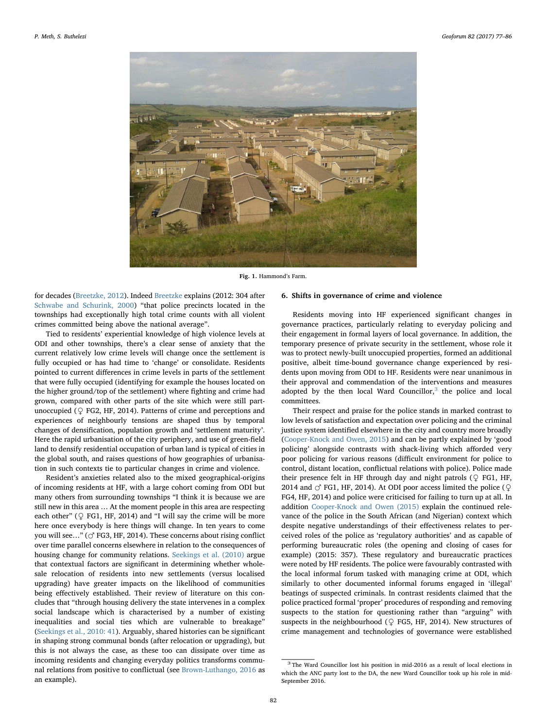<span id="page-5-0"></span>

Fig. 1. Hammond's Farm.

for decades [\(Breetzke, 2012\)](#page-8-3). Indeed [Breetzke](#page-8-3) explains (2012: 304 after [Schwabe and Schurink, 2000\)](#page-9-15) "that police precincts located in the townships had exceptionally high total crime counts with all violent crimes committed being above the national average".

Tied to residents' experiential knowledge of high violence levels at ODI and other townships, there's a clear sense of anxiety that the current relatively low crime levels will change once the settlement is fully occupied or has had time to 'change' or consolidate. Residents pointed to current differences in crime levels in parts of the settlement that were fully occupied (identifying for example the houses located on the higher ground/top of the settlement) where fighting and crime had grown, compared with other parts of the site which were still partunoccupied ( $\Diamond$  FG2, HF, 2014). Patterns of crime and perceptions and experiences of neighbourly tensions are shaped thus by temporal changes of densification, population growth and 'settlement maturity'. Here the rapid urbanisation of the city periphery, and use of green-field land to densify residential occupation of urban land is typical of cities in the global south, and raises questions of how geographies of urbanisation in such contexts tie to particular changes in crime and violence.

Resident's anxieties related also to the mixed geographical-origins of incoming residents at HF, with a large cohort coming from ODI but many others from surrounding townships "I think it is because we are still new in this area … At the moment people in this area are respecting each other"  $(Q$  FG1, HF, 2014) and "I will say the crime will be more here once everybody is here things will change. In ten years to come you will see..." ( $\circ$  FG3, HF, 2014). These concerns about rising conflict over time parallel concerns elsewhere in relation to the consequences of housing change for community relations. [Seekings et al. \(2010\)](#page-9-16) argue that contextual factors are significant in determining whether wholesale relocation of residents into new settlements (versus localised upgrading) have greater impacts on the likelihood of communities being effectively established. Their review of literature on this concludes that "through housing delivery the state intervenes in a complex social landscape which is characterised by a number of existing inequalities and social ties which are vulnerable to breakage" ([Seekings et al., 2010: 41](#page-9-16)). Arguably, shared histories can be significant in shaping strong communal bonds (after relocation or upgrading), but this is not always the case, as these too can dissipate over time as incoming residents and changing everyday politics transforms communal relations from positive to conflictual (see [Brown-Luthango, 2016](#page-8-14) as an example).

## 6. Shifts in governance of crime and violence

Residents moving into HF experienced significant changes in governance practices, particularly relating to everyday policing and their engagement in formal layers of local governance. In addition, the temporary presence of private security in the settlement, whose role it was to protect newly-built unoccupied properties, formed an additional positive, albeit time-bound governance change experienced by residents upon moving from ODI to HF. Residents were near unanimous in their approval and commendation of the interventions and measures adopted by the then local Ward Councillor, $3$  the police and local committees.

Their respect and praise for the police stands in marked contrast to low levels of satisfaction and expectation over policing and the criminal justice system identified elsewhere in the city and country more broadly ([Cooper-Knock and Owen, 2015](#page-8-24)) and can be partly explained by 'good policing' alongside contrasts with shack-living which afforded very poor policing for various reasons (difficult environment for police to control, distant location, conflictual relations with police). Police made their presence felt in HF through day and night patrols  $(Q$  FG1, HF, 2014 and  $\circ$  FG1, HF, 2014). At ODI poor access limited the police ( $\circ$ FG4, HF, 2014) and police were criticised for failing to turn up at all. In addition [Cooper-Knock and Owen \(2015\)](#page-8-24) explain the continued relevance of the police in the South African (and Nigerian) context which despite negative understandings of their effectiveness relates to perceived roles of the police as 'regulatory authorities' and as capable of performing bureaucratic roles (the opening and closing of cases for example) (2015: 357). These regulatory and bureaucratic practices were noted by HF residents. The police were favourably contrasted with the local informal forum tasked with managing crime at ODI, which similarly to other documented informal forums engaged in 'illegal' beatings of suspected criminals. In contrast residents claimed that the police practiced formal 'proper' procedures of responding and removing suspects to the station for questioning rather than "arguing" with suspects in the neighbourhood ( $\Diamond$  FG5, HF, 2014). New structures of crime management and technologies of governance were established

<span id="page-5-1"></span><sup>3</sup> The Ward Councillor lost his position in mid-2016 as a result of local elections in which the ANC party lost to the DA, the new Ward Councillor took up his role in mid-September 2016.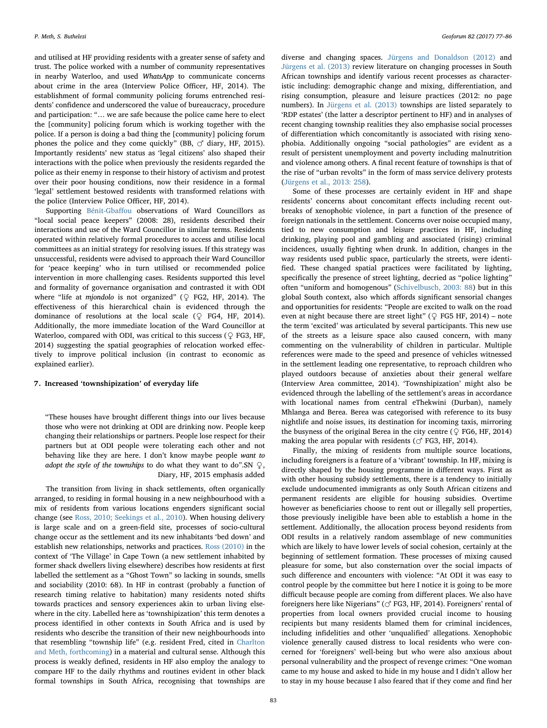and utilised at HF providing residents with a greater sense of safety and trust. The police worked with a number of community representatives in nearby Waterloo, and used WhatsApp to communicate concerns about crime in the area (Interview Police Officer, HF, 2014). The establishment of formal community policing forums entrenched residents' confidence and underscored the value of bureaucracy, procedure and participation: "… we are safe because the police came here to elect the [community] policing forum which is working together with the police. If a person is doing a bad thing the [community] policing forum phones the police and they come quickly" (BB,  $\circ$ <sup>2</sup> diary, HF, 2015). Importantly residents' new status as 'legal citizens' also shaped their interactions with the police when previously the residents regarded the police as their enemy in response to their history of activism and protest over their poor housing conditions, now their residence in a formal 'legal' settlement bestowed residents with transformed relations with the police (Interview Police Officer, HF, 2014).

Supporting [Bénit-Gba](#page-8-25)ffou observations of Ward Councillors as "local social peace keepers" (2008: 28), residents described their interactions and use of the Ward Councillor in similar terms. Residents operated within relatively formal procedures to access and utilise local committees as an initial strategy for resolving issues. If this strategy was unsuccessful, residents were advised to approach their Ward Councillor for 'peace keeping' who in turn utilised or recommended police intervention in more challenging cases. Residents supported this level and formality of governance organisation and contrasted it with ODI where "life at mjondolo is not organized" ( $\varphi$  FG2, HF, 2014). The effectiveness of this hierarchical chain is evidenced through the dominance of resolutions at the local scale (♀ FG4, HF, 2014). Additionally, the more immediate location of the Ward Councillor at Waterloo, compared with ODI, was critical to this success ( $\mathcal Q$  FG3, HF, 2014) suggesting the spatial geographies of relocation worked effectively to improve political inclusion (in contrast to economic as explained earlier).

#### 7. Increased 'townshipization' of everyday life

"These houses have brought different things into our lives because those who were not drinking at ODI are drinking now. People keep changing their relationships or partners. People lose respect for their partners but at ODI people were tolerating each other and not behaving like they are here. I don't know maybe people want to adopt the style of the townships to do what they want to do". SN  $\mathcal{Q}$ , Diary, HF, 2015 emphasis added

The transition from living in shack settlements, often organically arranged, to residing in formal housing in a new neighbourhood with a mix of residents from various locations engenders significant social change (see [Ross, 2010; Seekings et al., 2010\)](#page-9-6). When housing delivery is large scale and on a green-field site, processes of socio-cultural change occur as the settlement and its new inhabitants 'bed down' and establish new relationships, networks and practices. [Ross \(2010\)](#page-9-6) in the context of 'The Village' in Cape Town (a new settlement inhabited by former shack dwellers living elsewhere) describes how residents at first labelled the settlement as a "Ghost Town" so lacking in sounds, smells and sociability (2010: 68). In HF in contrast (probably a function of research timing relative to habitation) many residents noted shifts towards practices and sensory experiences akin to urban living elsewhere in the city. Labelled here as 'townshipization' this term denotes a process identified in other contexts in South Africa and is used by residents who describe the transition of their new neighbourhoods into that resembling "township life" (e.g. resident Fred, cited in [Charlton](#page-8-20) [and Meth, forthcoming](#page-8-20)) in a material and cultural sense. Although this process is weakly defined, residents in HF also employ the analogy to compare HF to the daily rhythms and routines evident in other black formal townships in South Africa, recognising that townships are

diverse and changing spaces. [Jürgens and Donaldson \(2012\)](#page-8-26) and [Jürgens et al. \(2013\)](#page-8-27) review literature on changing processes in South African townships and identify various recent processes as characteristic including: demographic change and mixing, differentiation, and rising consumption, pleasure and leisure practices (2012: no page numbers). In [Jürgens et al. \(2013\)](#page-8-27) townships are listed separately to 'RDP estates' (the latter a descriptor pertinent to HF) and in analyses of recent changing township realities they also emphasise social processes of differentiation which concomitantly is associated with rising xenophobia. Additionally ongoing "social pathologies" are evident as a result of persistent unemployment and poverty including malnutrition and violence among others. A final recent feature of townships is that of the rise of "urban revolts" in the form of mass service delivery protests ([Jürgens et al., 2013: 258\)](#page-8-27).

Some of these processes are certainly evident in HF and shape residents' concerns about concomitant effects including recent outbreaks of xenophobic violence, in part a function of the presence of foreign nationals in the settlement. Concerns over noise occupied many, tied to new consumption and leisure practices in HF, including drinking, playing pool and gambling and associated (rising) criminal incidences, usually fighting when drunk. In addition, changes in the way residents used public space, particularly the streets, were identified. These changed spatial practices were facilitated by lighting, specifically the presence of street lighting, decried as "police lighting" often "uniform and homogenous" [\(Schivelbusch, 2003: 88\)](#page-9-17) but in this global South context, also which affords significant sensorial changes and opportunities for residents: "People are excited to walk on the road even at night because there are street light" ( $\lozenge$  FG5 HF, 2014) – note the term 'excited' was articulated by several participants. This new use of the streets as a leisure space also caused concern, with many commenting on the vulnerability of children in particular. Multiple references were made to the speed and presence of vehicles witnessed in the settlement leading one representative, to reproach children who played outdoors because of anxieties about their general welfare (Interview Area committee, 2014). 'Townshipization' might also be evidenced through the labelling of the settlement's areas in accordance with locational names from central eThekwini (Durban), namely Mhlanga and Berea. Berea was categorised with reference to its busy nightlife and noise issues, its destination for incoming taxis, mirroring the busyness of the original Berea in the city centre ( $\circ$  FG6, HF, 2014) making the area popular with residents ( $\circ$  FG3, HF, 2014).

Finally, the mixing of residents from multiple source locations, including foreigners is a feature of a 'vibrant' township. In HF, mixing is directly shaped by the housing programme in different ways. First as with other housing subsidy settlements, there is a tendency to initially exclude undocumented immigrants as only South African citizens and permanent residents are eligible for housing subsidies. Overtime however as beneficiaries choose to rent out or illegally sell properties, those previously ineligible have been able to establish a home in the settlement. Additionally, the allocation process beyond residents from ODI results in a relatively random assemblage of new communities which are likely to have lower levels of social cohesion, certainly at the beginning of settlement formation. These processes of mixing caused pleasure for some, but also consternation over the social impacts of such difference and encounters with violence: "At ODI it was easy to control people by the committee but here I notice it is going to be more difficult because people are coming from different places. We also have foreigners here like Nigerians" ( $\circ$  FG3, HF, 2014). Foreigners' rental of properties from local owners provided crucial income to housing recipients but many residents blamed them for criminal incidences, including infidelities and other 'unqualified' allegations. Xenophobic violence generally caused distress to local residents who were concerned for 'foreigners' well-being but who were also anxious about personal vulnerability and the prospect of revenge crimes: "One woman came to my house and asked to hide in my house and I didn't allow her to stay in my house because I also feared that if they come and find her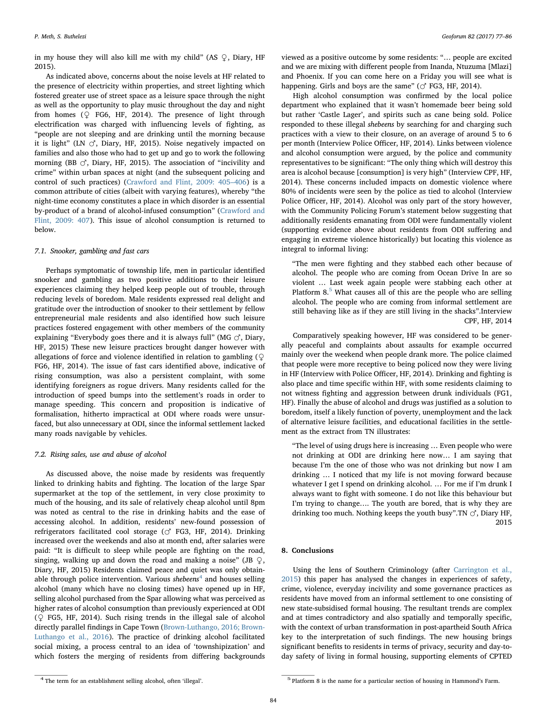in my house they will also kill me with my child" (AS  $\Diamond$ , Diary, HF 2015).

As indicated above, concerns about the noise levels at HF related to the presence of electricity within properties, and street lighting which fostered greater use of street space as a leisure space through the night as well as the opportunity to play music throughout the day and night from homes (Q FG6, HF, 2014). The presence of light through electrification was charged with influencing levels of fighting, as "people are not sleeping and are drinking until the morning because it is light" (LN  $\circ$ <sup>7</sup>, Diary, HF, 2015). Noise negatively impacted on families and also those who had to get up and go to work the following morning (BB  $\circ$ ). Diary, HF, 2015). The association of "incivility and crime" within urban spaces at night (and the subsequent policing and control of such practices) ([Crawford and Flint, 2009: 405](#page-8-28)–406) is a common attribute of cities (albeit with varying features), whereby "the night-time economy constitutes a place in which disorder is an essential by-product of a brand of alcohol-infused consumption" ([Crawford and](#page-8-28) [Flint, 2009: 407\)](#page-8-28). This issue of alcohol consumption is returned to below.

## 7.1. Snooker, gambling and fast cars

Perhaps symptomatic of township life, men in particular identified snooker and gambling as two positive additions to their leisure experiences claiming they helped keep people out of trouble, through reducing levels of boredom. Male residents expressed real delight and gratitude over the introduction of snooker to their settlement by fellow entrepreneurial male residents and also identified how such leisure practices fostered engagement with other members of the community explaining "Everybody goes there and it is always full" (MG  $\sigma$ , Diary, HF, 2015) These new leisure practices brought danger however with allegations of force and violence identified in relation to gambling  $(Q)$ FG6, HF, 2014). The issue of fast cars identified above, indicative of rising consumption, was also a persistent complaint, with some identifying foreigners as rogue drivers. Many residents called for the introduction of speed bumps into the settlement's roads in order to manage speeding. This concern and proposition is indicative of formalisation, hitherto impractical at ODI where roads were unsurfaced, but also unnecessary at ODI, since the informal settlement lacked many roads navigable by vehicles.

#### 7.2. Rising sales, use and abuse of alcohol

As discussed above, the noise made by residents was frequently linked to drinking habits and fighting. The location of the large Spar supermarket at the top of the settlement, in very close proximity to much of the housing, and its sale of relatively cheap alcohol until 8pm was noted as central to the rise in drinking habits and the ease of accessing alcohol. In addition, residents' new-found possession of refrigerators facilitated cool storage ( $\circ$  FG3, HF, 2014). Drinking increased over the weekends and also at month end, after salaries were paid: "It is difficult to sleep while people are fighting on the road, singing, walking up and down the road and making a noise" (JB  $\varphi$ , Diary, HF, 2015) Residents claimed peace and quiet was only obtain-able through police intervention. Various shebeens<sup>[4](#page-7-0)</sup> and houses selling alcohol (many which have no closing times) have opened up in HF, selling alcohol purchased from the Spar allowing what was perceived as higher rates of alcohol consumption than previously experienced at ODI (♀ FG5, HF, 2014). Such rising trends in the illegal sale of alcohol directly parallel findings in Cape Town [\(Brown-Luthango, 2016; Brown-](#page-8-14)[Luthango et al., 2016\)](#page-8-14). The practice of drinking alcohol facilitated social mixing, a process central to an idea of 'townshipization' and which fosters the merging of residents from differing backgrounds

viewed as a positive outcome by some residents: "… people are excited and we are mixing with different people from Inanda, Ntuzuma [Mlazi] and Phoenix. If you can come here on a Friday you will see what is happening. Girls and boys are the same" ( $\circ$  FG3, HF, 2014).

High alcohol consumption was confirmed by the local police department who explained that it wasn't homemade beer being sold but rather 'Castle Lager', and spirits such as cane being sold. Police responded to these illegal shebeens by searching for and charging such practices with a view to their closure, on an average of around 5 to 6 per month (Interview Police Officer, HF, 2014). Links between violence and alcohol consumption were argued, by the police and community representatives to be significant: "The only thing which will destroy this area is alcohol because [consumption] is very high" (Interview CPF, HF, 2014). These concerns included impacts on domestic violence where 80% of incidents were seen by the police as tied to alcohol (Interview Police Officer, HF, 2014). Alcohol was only part of the story however, with the Community Policing Forum's statement below suggesting that additionally residents emanating from ODI were fundamentally violent (supporting evidence above about residents from ODI suffering and engaging in extreme violence historically) but locating this violence as integral to informal living:

"The men were fighting and they stabbed each other because of alcohol. The people who are coming from Ocean Drive In are so violent … Last week again people were stabbing each other at Platform  $8.5$  $8.5$  What causes all of this are the people who are selling alcohol. The people who are coming from informal settlement are still behaving like as if they are still living in the shacks".Interview CPF, HF, 2014

Comparatively speaking however, HF was considered to be generally peaceful and complaints about assaults for example occurred mainly over the weekend when people drank more. The police claimed that people were more receptive to being policed now they were living in HF (Interview with Police Officer, HF, 2014). Drinking and fighting is also place and time specific within HF, with some residents claiming to not witness fighting and aggression between drunk individuals (FG1, HF). Finally the abuse of alcohol and drugs was justified as a solution to boredom, itself a likely function of poverty, unemployment and the lack of alternative leisure facilities, and educational facilities in the settlement as the extract from TN illustrates:

"The level of using drugs here is increasing … Even people who were not drinking at ODI are drinking here now… I am saying that because I'm the one of those who was not drinking but now I am drinking … I noticed that my life is not moving forward because whatever I get I spend on drinking alcohol. … For me if I'm drunk I always want to fight with someone. I do not like this behaviour but I'm trying to change…. The youth are bored, that is why they are drinking too much. Nothing keeps the youth busy".TN  $\circlearrowleft$ , Diary HF, 2015

## 8. Conclusions

<span id="page-7-1"></span>Using the lens of Southern Criminology (after [Carrington et al.,](#page-8-0) [2015\)](#page-8-0) this paper has analysed the changes in experiences of safety, crime, violence, everyday incivility and some governance practices as residents have moved from an informal settlement to one consisting of new state-subsidised formal housing. The resultant trends are complex and at times contradictory and also spatially and temporally specific, with the context of urban transformation in post-apartheid South Africa key to the interpretation of such findings. The new housing brings significant benefits to residents in terms of privacy, security and day-today safety of living in formal housing, supporting elements of CPTED

<span id="page-7-0"></span>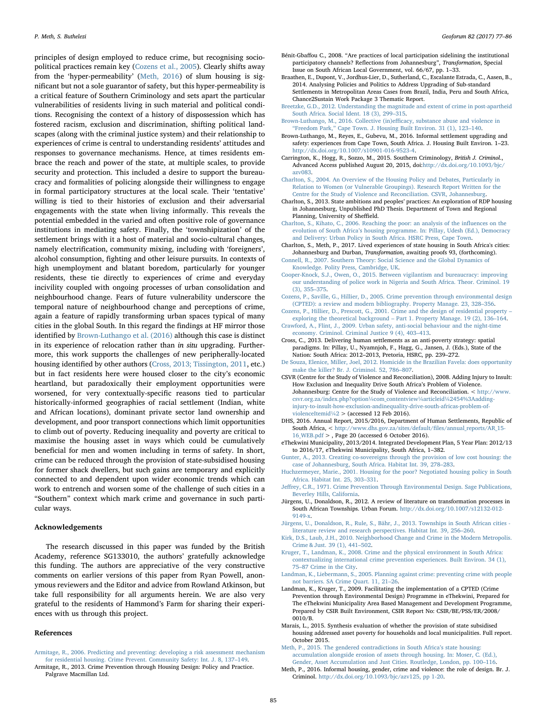principles of design employed to reduce crime, but recognising sociopolitical practices remain key [\(Cozens et al., 2005](#page-8-8)). Clearly shifts away from the 'hyper-permeability' ([Meth, 2016](#page-8-10)) of slum housing is significant but not a sole guarantor of safety, but this hyper-permeability is a critical feature of Southern Criminology and sets apart the particular vulnerabilities of residents living in such material and political conditions. Recognising the context of a history of dispossession which has fostered racism, exclusion and discrimination, shifting political landscapes (along with the criminal justice system) and their relationship to experiences of crime is central to understanding residents' attitudes and responses to governance mechanisms. Hence, at times residents embrace the reach and power of the state, at multiple scales, to provide security and protection. This included a desire to support the bureaucracy and formalities of policing alongside their willingness to engage in formal participatory structures at the local scale. Their 'tentative' willing is tied to their histories of exclusion and their adversarial engagements with the state when living informally. This reveals the potential embedded in the varied and often positive role of governance institutions in mediating safety. Finally, the 'townshipization' of the settlement brings with it a host of material and socio-cultural changes, namely electrification, community mixing, including with 'foreigners', alcohol consumption, fighting and other leisure pursuits. In contexts of high unemployment and blatant boredom, particularly for younger residents, these tie directly to experiences of crime and everyday incivility coupled with ongoing processes of urban consolidation and neighbourhood change. Fears of future vulnerability underscore the temporal nature of neighbourhood change and perceptions of crime, again a feature of rapidly transforming urban spaces typical of many cities in the global South. In this regard the findings at HF mirror those identified by [Brown-Luthango et al. \(2016\)](#page-8-9) although this case is distinct in its experience of relocation rather than in situ upgrading. Furthermore, this work supports the challenges of new peripherally-located housing identified by other authors ([Cross, 2013; Tissington, 2011,](#page-8-29) etc.) but in fact residents here were housed closer to the city's economic heartland, but paradoxically their employment opportunities were worsened, for very contextually-specific reasons tied to particular historically-informed geographies of racial settlement (Indian, white and African locations), dominant private sector land ownership and development, and poor transport connections which limit opportunities to climb out of poverty. Reducing inequality and poverty are critical to maximise the housing asset in ways which could be cumulatively beneficial for men and women including in terms of safety. In short, crime can be reduced through the provision of state-subsidised housing for former shack dwellers, but such gains are temporary and explicitly connected to and dependent upon wider economic trends which can work to entrench and worsen some of the challenge of such cities in a "Southern" context which mark crime and governance in such particular ways.

#### Acknowledgements

The research discussed in this paper was funded by the British Academy, reference SG133010, the authors' gratefully acknowledge this funding. The authors are appreciative of the very constructive comments on earlier versions of this paper from Ryan Powell, anonymous reviewers and the Editor and advice from Rowland Atkinson, but take full responsibility for all arguments herein. We are also very grateful to the residents of Hammond's Farm for sharing their experiences with us through this project.

#### References

- <span id="page-8-7"></span>[Armitage, R., 2006. Predicting and preventing: developing a risk assessment mechanism](http://refhub.elsevier.com/S0016-7185(17)30074-X/h0005) [for residential housing. Crime Prevent. Community Safety: Int. J. 8, 137](http://refhub.elsevier.com/S0016-7185(17)30074-X/h0005)–149. Armitage, R., 2013. Crime Prevention through Housing Design: Policy and Practice.
- Palgrave Macmillan Ltd.
- <span id="page-8-25"></span>Bénit-Gbaffou C., 2008. "Are practices of local participation sidelining the institutional participatory channels? Reflections from Johannesburg", Transformation, Special Issue on South African Local Government, vol. 66/67, pp. 1–33.
- <span id="page-8-22"></span>Braathen, E., Dupont, V., Jordhus-Lier, D., Sutherland, C., Escalante Estrada, C., Aasen, B., 2014. Analysing Policies and Politics to Address Upgrading of Sub-standard Settlements in Metropolitan Areas Cases from Brazil, India, Peru and South Africa, Chance2Sustain Work Package 3 Thematic Report.
- <span id="page-8-3"></span>[Breetzke, G.D., 2012. Understanding the magnitude and extent of crime in post-apartheid](http://refhub.elsevier.com/S0016-7185(17)30074-X/h0025) [South Africa. Social Ident. 18 \(3\), 299](http://refhub.elsevier.com/S0016-7185(17)30074-X/h0025)–315.
- <span id="page-8-14"></span>[Brown-Luthango, M., 2016. Collective \(in\)e](http://refhub.elsevier.com/S0016-7185(17)30074-X/h0030)fficacy, substance abuse and violence in "Freedom Park," [Cape Town. J. Housing Built Environ. 31 \(1\), 123](http://refhub.elsevier.com/S0016-7185(17)30074-X/h0030)–140.
- <span id="page-8-9"></span>Brown-Luthango, M., Reyes, E., Gubevu, M., 2016. Informal settlement upgrading and safety: experiences from Cape Town, South Africa. J. Housing Built Environ. 1–23. [http://dx.doi.org/10.1007/s10901-016-9523-4.](http://dx.doi.org/10.1007/s10901-016-9523-4)
- <span id="page-8-0"></span>Carrington, K., Hogg, R., Sozzo, M., 2015. Southern Criminology, British J. Criminol., Advanced Access published August 20, 2015, doi:[http://dx.doi.org/10.1093/bjc/](doi:10.1093/bjc/azv083) [azv083.](doi:10.1093/bjc/azv083)
- <span id="page-8-19"></span>[Charlton, S., 2004. An Overview of the Housing Policy and Debates, Particularly in](http://refhub.elsevier.com/S0016-7185(17)30074-X/h0045) [Relation to Women \(or Vulnerable Groupings\). Research Report Written for the](http://refhub.elsevier.com/S0016-7185(17)30074-X/h0045) [Centre for the Study of Violence and Reconciliation. CSVR, Johannesburg.](http://refhub.elsevier.com/S0016-7185(17)30074-X/h0045)
- Charlton, S., 2013. State ambitions and peoples' practices: An exploration of RDP housing in Johannesburg, Unpublished PhD Thesis. Department of Town and Regional Planning, University of Sheffield.
- [Charlton, S., Kihato, C., 2006. Reaching the poor: an analysis of the in](http://refhub.elsevier.com/S0016-7185(17)30074-X/h0055)fluences on the evolution of South Africa'[s housing programme. In: Pillay, Udesh \(Ed.\), Democracy](http://refhub.elsevier.com/S0016-7185(17)30074-X/h0055) [and Delivery: Urban Policy in South Africa. HSRC Press, Cape Town](http://refhub.elsevier.com/S0016-7185(17)30074-X/h0055).
- <span id="page-8-20"></span>Charlton, S., Meth, P., 2017. Lived experiences of state housing in South Africa's cities: Johannesburg and Durban, Transformation, awaiting proofs 93, (forthcoming).
- <span id="page-8-1"></span>[Connell, R., 2007. Southern Theory: Social Science and the Global Dynamics of](http://refhub.elsevier.com/S0016-7185(17)30074-X/h0065) [Knowledge. Polity Press, Cambridge, UK.](http://refhub.elsevier.com/S0016-7185(17)30074-X/h0065)
- <span id="page-8-24"></span>[Cooper-Knock, S.J., Owen, O., 2015. Between vigilantism and bureaucracy: improving](http://refhub.elsevier.com/S0016-7185(17)30074-X/h0070) [our understanding of police work in Nigeria and South Africa. Theor. Criminol. 19](http://refhub.elsevier.com/S0016-7185(17)30074-X/h0070) [\(3\), 355](http://refhub.elsevier.com/S0016-7185(17)30074-X/h0070)–375.
- <span id="page-8-8"></span>[Cozens, P., Saville, G., Hillier, D., 2005. Crime prevention through environmental design](http://refhub.elsevier.com/S0016-7185(17)30074-X/h0075) [\(CPTED\): a review and modern bibliography. Property Manage. 23, 328](http://refhub.elsevier.com/S0016-7185(17)30074-X/h0075)–356.
- <span id="page-8-6"></span>[Cozens, P., Hillier, D., Prescott, G., 2001. Crime and the design of residential property](http://refhub.elsevier.com/S0016-7185(17)30074-X/h0080) – exploring the theoretical background – [Part 1. Property Manage. 19 \(2\), 136](http://refhub.elsevier.com/S0016-7185(17)30074-X/h0080)–164.
- <span id="page-8-28"></span>[Crawford, A., Flint, J., 2009. Urban safety, anti-social behaviour and the night-time](http://refhub.elsevier.com/S0016-7185(17)30074-X/h0085) [economy. Criminol. Criminal Justice 9 \(4\), 403](http://refhub.elsevier.com/S0016-7185(17)30074-X/h0085)–413.
- <span id="page-8-29"></span>Cross, C., 2013. Delivering human settlements as an anti-poverty strategy: spatial paradigms. In: Pillay, U., Nyamnjoh, F., Hagg, G., Jansen, J. (Eds.), State of the Nation: South Africa: 2012–2013, Pretoria, HSRC, pp. 239–272.
- [De Souza, Elenice, Miller, Joel, 2012. Homicide in the Brazilian Favela: does opportunity](http://refhub.elsevier.com/S0016-7185(17)30074-X/h0095) [make the killer? Br. J. Criminol. 52, 786](http://refhub.elsevier.com/S0016-7185(17)30074-X/h0095)–807.
- <span id="page-8-2"></span>CSVR (Centre for the Study of Violence and Reconciliation), 2008. Adding Injury to Insult: How Exclusion and Inequality Drive South Africa's Problem of Violence. Johannesburg: Centre for the Study of Violence and Reconciliation. < [http://www.](http://www.csvr.org.za/) csvr.org.za/index.php?option1/4com\_contentview1/4articleid1/42454%3Aadding[injury-to-insult-how-exclusion-andinequality-drive-south-africas-problem-of](http://www.csvr.org.za/)[violenceItemid¼2](http://www.csvr.org.za/) > (accessed 12 Feb 2016).
- <span id="page-8-15"></span>DHS, 2016. Annual Report, 2015/2016, Department of Human Settlements, Republic of South Africa, < [http://www.dhs.gov.za/sites/default/](http://www.dhs.gov.za/sites/default/files/annual_reports/AR_15-16_WEB.pdf)files/annual\_reports/AR\_15- [16\\_WEB.pdf](http://www.dhs.gov.za/sites/default/files/annual_reports/AR_15-16_WEB.pdf) > , Page 20 (accessed 6 October 2016).
- <span id="page-8-21"></span>eThekwini Municipality, 2013/2014. Integrated Development Plan, 5 Year Plan: 2012/13 to 2016/17, eThekwini Municipality, South Africa, 1–382.
- <span id="page-8-17"></span>[Gunter, A., 2013. Creating co-sovereigns through the provision of low cost housing: the](http://refhub.elsevier.com/S0016-7185(17)30074-X/h0115) [case of Johannesburg, South Africa. Habitat Int. 39, 278](http://refhub.elsevier.com/S0016-7185(17)30074-X/h0115)–283.
- <span id="page-8-18"></span>[Huchzermeyer, Marie., 2001. Housing for the poor? Negotiated housing policy in South](http://refhub.elsevier.com/S0016-7185(17)30074-X/h0120) [Africa. Habitat Int. 25, 303](http://refhub.elsevier.com/S0016-7185(17)30074-X/h0120)–331.
- <span id="page-8-5"></span>Jeff[rey, C.R., 1971. Crime Prevention Through Environmental Design. Sage Publications,](http://refhub.elsevier.com/S0016-7185(17)30074-X/h0125) [Beverley Hills, California.](http://refhub.elsevier.com/S0016-7185(17)30074-X/h0125)
- <span id="page-8-26"></span>Jürgens, U., Donaldson, R., 2012. A review of literature on transformation processes in South African Townships. Urban Forum. [http://dx.doi.org/10.1007/s12132-012-](http://dx.doi.org/10.1007/s12132-012-9149-x) [9149-x](http://dx.doi.org/10.1007/s12132-012-9149-x).
- <span id="page-8-27"></span>[Jürgens, U., Donaldson, R., Rule, S., Bähr, J., 2013. Townships in South African cities](http://refhub.elsevier.com/S0016-7185(17)30074-X/h0135)  [literature review and research perspectives. Habitat Int. 39, 256](http://refhub.elsevier.com/S0016-7185(17)30074-X/h0135)–260.
- <span id="page-8-4"></span>[Kirk, D.S., Laub, J.H., 2010. Neighborhood Change and Crime in the Modern Metropolis.](http://refhub.elsevier.com/S0016-7185(17)30074-X/h9000) [Crime & Just. 39 \(1\), 441](http://refhub.elsevier.com/S0016-7185(17)30074-X/h9000)–502.
- <span id="page-8-12"></span>[Kruger, T., Landman, K., 2008. Crime and the physical environment in South Africa:](http://refhub.elsevier.com/S0016-7185(17)30074-X/h0145) [contextualizing international crime prevention experiences. Built Environ. 34 \(1\),](http://refhub.elsevier.com/S0016-7185(17)30074-X/h0145) 75–[87 Crime in the City.](http://refhub.elsevier.com/S0016-7185(17)30074-X/h0145)
- <span id="page-8-11"></span>[Landman, K., Liebermann, S., 2005. Planning against crime: preventing crime with people](http://refhub.elsevier.com/S0016-7185(17)30074-X/h0150) [not barriers. SA Crime Quart. 11, 21](http://refhub.elsevier.com/S0016-7185(17)30074-X/h0150)–26.
- <span id="page-8-13"></span>Landman, K., Kruger, T., 2009. Facilitating the implementation of a CPTED (Crime Prevention through Environmental Design) Programme in eThekwini, Prepared for The eThekwini Municipality Area Based Management and Development Programme, Prepared by CSIR Built Environment, CSIR Report No: CSIR/BE/PSS/ER/2008/ 0010/B.
- <span id="page-8-16"></span>Marais, L., 2015. Synthesis evaluation of whether the provision of state subsidised housing addressed asset poverty for households and local municipalities. Full report. October 2015.

<span id="page-8-23"></span>[Meth, P., 2015. The gendered contradictions in South Africa](http://refhub.elsevier.com/S0016-7185(17)30074-X/h0165)'s state housing: [accumulation alongside erosion of assets through housing. In: Moser, C. \(Ed.\),](http://refhub.elsevier.com/S0016-7185(17)30074-X/h0165) [Gender, Asset Accumulation and Just Cities. Routledge, London, pp. 100](http://refhub.elsevier.com/S0016-7185(17)30074-X/h0165)–116.

<span id="page-8-10"></span>Meth, P., 2016. Informal housing, gender, crime and violence: the role of design. Br. J. Criminol. [http://dx.doi.org/10.1093/bjc/azv125, pp 1-20.](http://dx.doi.org/10.1093/bjc/azv125, pp 1-20)